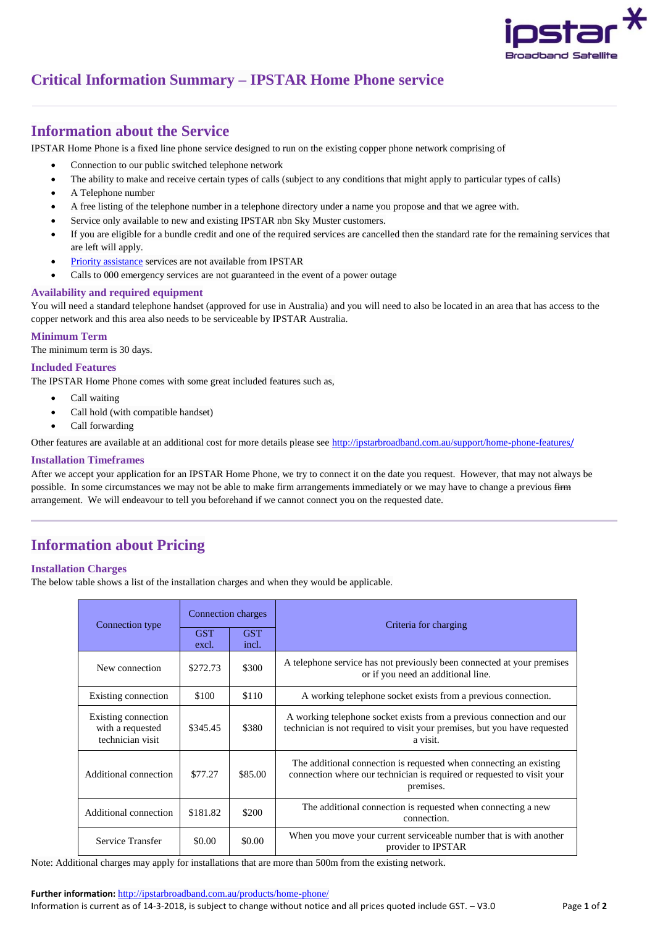

# **Critical Information Summary – IPSTAR Home Phone service**

# **Information about the Service**

IPSTAR Home Phone is a fixed line phone service designed to run on the existing copper phone network comprising of

- Connection to our public switched telephone network
- The ability to make and receive certain types of calls (subject to any conditions that might apply to particular types of calls)
- A Telephone number
- A free listing of the telephone number in a telephone directory under a name you propose and that we agree with.
- Service only available to new and existing IPSTAR nbn Sky Muster customers.
- If you are eligible for a bundle credit and one of the required services are cancelled then the standard rate for the remaining services that are left will apply.
- [Priority assistance](https://www.acma.gov.au/Industry/Telco/Carriers-and-service-providers/Universal-service-obligation/priority-assistance-carriers-service-providers-acma) services are not available from IPSTAR
- Calls to 000 emergency services are not guaranteed in the event of a power outage

# **Availability and required equipment**

You will need a standard telephone handset (approved for use in Australia) and you will need to also be located in an area that has access to the copper network and this area also needs to be serviceable by IPSTAR Australia.

### **Minimum Term**

The minimum term is 30 days.

## **Included Features**

The IPSTAR Home Phone comes with some great included features such as,

- Call waiting
- Call hold (with compatible handset)
- Call forwarding
- Other features are available at an additional cost for more details please see [http://ipstarbroadband.com.au/support/home-phone-features](http://ipstarbroadband.com.au/support/home-phone-features/)/

#### **Installation Timeframes**

After we accept your application for an IPSTAR Home Phone, we try to connect it on the date you request. However, that may not always be possible. In some circumstances we may not be able to make firm arrangements immediately or we may have to change a previous  $f_{\text{H}}$ arrangement. We will endeavour to tell you beforehand if we cannot connect you on the requested date.

# **Information about Pricing**

#### **Installation Charges**

The below table shows a list of the installation charges and when they would be applicable.

| Connection type                                             | Connection charges  |                     | Criteria for charging                                                                                                                                         |  |
|-------------------------------------------------------------|---------------------|---------------------|---------------------------------------------------------------------------------------------------------------------------------------------------------------|--|
|                                                             | <b>GST</b><br>excl. | <b>GST</b><br>incl. |                                                                                                                                                               |  |
| New connection                                              | \$272.73            | \$300               | A telephone service has not previously been connected at your premises<br>or if you need an additional line.                                                  |  |
| Existing connection                                         | \$100               | \$110               | A working telephone socket exists from a previous connection.                                                                                                 |  |
| Existing connection<br>with a requested<br>technician visit | \$345.45            | \$380               | A working telephone socket exists from a previous connection and our<br>technician is not required to visit your premises, but you have requested<br>a visit. |  |
| Additional connection                                       | \$77.27             | \$85.00             | The additional connection is requested when connecting an existing<br>connection where our technician is required or requested to visit your<br>premises.     |  |
| Additional connection                                       | \$181.82            | \$200               | The additional connection is requested when connecting a new<br>connection.                                                                                   |  |
| Service Transfer                                            | \$0.00              | \$0.00              | When you move your current serviceable number that is with another<br>provider to IPSTAR                                                                      |  |

Note: Additional charges may apply for installations that are more than 500m from the existing network.